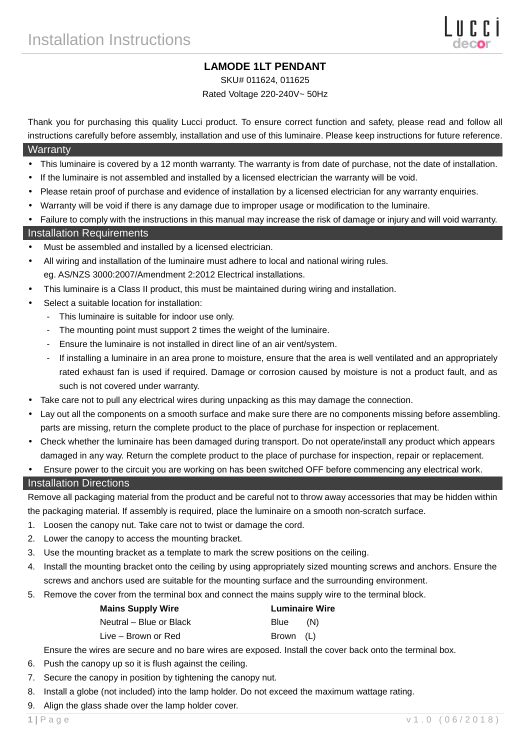# **LAMODE 1LT PENDANT**

SKU# 011624, 011625

### Rated Voltage 220-240V~ 50Hz

Thank you for purchasing this quality Lucci product. To ensure correct function and safety, please read and follow all instructions carefully before assembly, installation and use of this luminaire. Please keep instructions for future reference.

#### **Warranty**

- This luminaire is covered by a 12 month warranty. The warranty is from date of purchase, not the date of installation.
- If the luminaire is not assembled and installed by a licensed electrician the warranty will be void.
- Please retain proof of purchase and evidence of installation by a licensed electrician for any warranty enquiries.
- Warranty will be void if there is any damage due to improper usage or modification to the luminaire.
- Failure to comply with the instructions in this manual may increase the risk of damage or injury and will void warranty.

#### Installation Requirements

- Must be assembled and installed by a licensed electrician.
- All wiring and installation of the luminaire must adhere to local and national wiring rules. eg. AS/NZS 3000:2007/Amendment 2:2012 Electrical installations.
- This luminaire is a Class II product, this must be maintained during wiring and installation.
- Select a suitable location for installation:
	- This luminaire is suitable for indoor use only.
	- The mounting point must support 2 times the weight of the luminaire.
	- Ensure the luminaire is not installed in direct line of an air vent/system.
	- If installing a luminaire in an area prone to moisture, ensure that the area is well ventilated and an appropriately rated exhaust fan is used if required. Damage or corrosion caused by moisture is not a product fault, and as such is not covered under warranty.
- Take care not to pull any electrical wires during unpacking as this may damage the connection.
- Lay out all the components on a smooth surface and make sure there are no components missing before assembling. parts are missing, return the complete product to the place of purchase for inspection or replacement.
- Check whether the luminaire has been damaged during transport. Do not operate/install any product which appears damaged in any way. Return the complete product to the place of purchase for inspection, repair or replacement.
- Ensure power to the circuit you are working on has been switched OFF before commencing any electrical work.

#### Installation Directions

Remove all packaging material from the product and be careful not to throw away accessories that may be hidden within the packaging material. If assembly is required, place the luminaire on a smooth non-scratch surface.

- 1. Loosen the canopy nut. Take care not to twist or damage the cord.
- 2. Lower the canopy to access the mounting bracket.
- 3. Use the mounting bracket as a template to mark the screw positions on the ceiling.
- 4. Install the mounting bracket onto the ceiling by using appropriately sized mounting screws and anchors. Ensure the screws and anchors used are suitable for the mounting surface and the surrounding environment.
- 5. Remove the cover from the terminal box and connect the mains supply wire to the terminal block.

| <b>Mains Supply Wire</b> | <b>Luminaire Wire</b> |     |
|--------------------------|-----------------------|-----|
| Neutral – Blue or Black  | Blue                  | (N) |
| Live – Brown or Red      | Brown (L)             |     |

Ensure the wires are secure and no bare wires are exposed. Install the cover back onto the terminal box.

- 6. Push the canopy up so it is flush against the ceiling.
- 7. Secure the canopy in position by tightening the canopy nut.
- 8. Install a globe (not included) into the lamp holder. Do not exceed the maximum wattage rating.
- 9. Align the glass shade over the lamp holder cover.